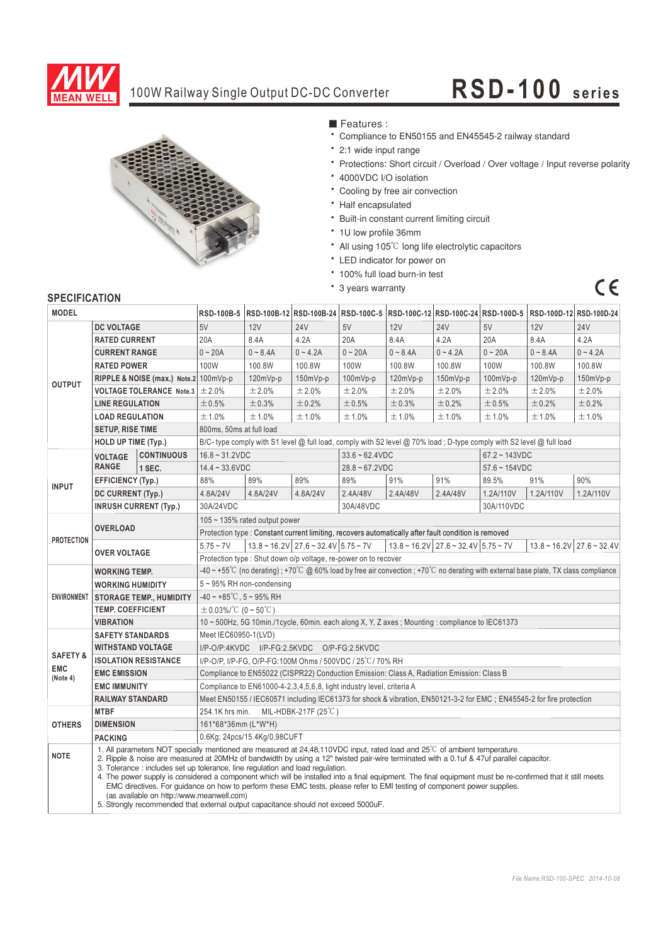

## 100W Railway Single Output DC-DC Converter

# **RSD-100** series

 $C \in$ 



■ Features :

- ‧Compliance to EN50155 and EN45545-2 railway standard
- ‧2:1 wide input range
- ‧Protections: Short circuit / Overload / Over voltage / Input reverse polarity
- ‧4000VDC I/O isolation
- ‧Cooling by free air convection
- ‧Half encapsulated
- ‧Built-in constant current limiting circuit
- ‧1U low profile 36mm
- All using 105℃ long life electrolytic capacitors
- ‧LED indicator for power on
- ‧100% full load burn-in test
- ‧3 years warranty

## **SPECIFICATION**

| <b>MODEL</b>        |                                                                                                                                                                                                                                                                                                                                                                                                                                                                                                                                                                                                                                                                                                                                                                                               |                              |                                                                                                                                     |            | RSD-100B-5 RSD-100B-12 RSD-100B-24 RSD-100C-5 RSD-100C-12 RSD-100C-24 RSD-100D-5 RSD-100D-12 RSD-100D-24 |                   |                                                                                                                      |                  |            |                                        |            |
|---------------------|-----------------------------------------------------------------------------------------------------------------------------------------------------------------------------------------------------------------------------------------------------------------------------------------------------------------------------------------------------------------------------------------------------------------------------------------------------------------------------------------------------------------------------------------------------------------------------------------------------------------------------------------------------------------------------------------------------------------------------------------------------------------------------------------------|------------------------------|-------------------------------------------------------------------------------------------------------------------------------------|------------|----------------------------------------------------------------------------------------------------------|-------------------|----------------------------------------------------------------------------------------------------------------------|------------------|------------|----------------------------------------|------------|
|                     | <b>DC VOLTAGE</b>                                                                                                                                                                                                                                                                                                                                                                                                                                                                                                                                                                                                                                                                                                                                                                             |                              | 5V                                                                                                                                  | 12V        | <b>24V</b>                                                                                               | 5V                | 12V                                                                                                                  | <b>24V</b>       | 5V         | 12V                                    | <b>24V</b> |
| <b>OUTPUT</b>       | <b>RATED CURRENT</b>                                                                                                                                                                                                                                                                                                                                                                                                                                                                                                                                                                                                                                                                                                                                                                          |                              | 20A                                                                                                                                 | 8.4A       | 4.2A                                                                                                     | 20A               | 8.4A                                                                                                                 | 4.2A             | 20A        | 8.4A                                   | 4.2A       |
|                     | <b>CURRENT RANGE</b>                                                                                                                                                                                                                                                                                                                                                                                                                                                                                                                                                                                                                                                                                                                                                                          |                              | $0 - 20A$                                                                                                                           | $0 - 8.4A$ | $0 - 4.2A$                                                                                               | $0 - 20A$         | $0 - 8.4A$                                                                                                           | $0 - 4.2A$       | $0 - 20A$  | $0 - 8.4A$                             | $0 - 4.2A$ |
|                     | <b>RATED POWER</b>                                                                                                                                                                                                                                                                                                                                                                                                                                                                                                                                                                                                                                                                                                                                                                            |                              | 100W                                                                                                                                | 100.8W     | 100.8W                                                                                                   | 100W              | 100.8W                                                                                                               | 100.8W           | 100W       | 100.8W                                 | 100.8W     |
|                     | RIPPLE & NOISE (max.) Note.2 100mVp-p                                                                                                                                                                                                                                                                                                                                                                                                                                                                                                                                                                                                                                                                                                                                                         |                              |                                                                                                                                     | $120mVp-p$ | $150mVp-p$                                                                                               | 100mVp-p          | $120mVp-p$                                                                                                           | $150mVp-p$       | $100mVp-p$ | $120mVp-p$                             | $150mVp-p$ |
|                     | <b>VOLTAGE TOLERANCE Note.3</b>                                                                                                                                                                                                                                                                                                                                                                                                                                                                                                                                                                                                                                                                                                                                                               |                              | ±2.0%                                                                                                                               | ±2.0%      | ±2.0%                                                                                                    | ±2.0%             | ±2.0%                                                                                                                | ±2.0%            | ±2.0%      | ±2.0%                                  | ±2.0%      |
|                     | <b>LINE REGULATION</b>                                                                                                                                                                                                                                                                                                                                                                                                                                                                                                                                                                                                                                                                                                                                                                        |                              | ±0.5%                                                                                                                               | ±0.3%      | ±0.2%                                                                                                    | ±0.5%             | ±0.3%                                                                                                                | ±0.2%            | ±0.5%      | ±0.2%                                  | $\pm$ 0.2% |
|                     | <b>LOAD REGULATION</b>                                                                                                                                                                                                                                                                                                                                                                                                                                                                                                                                                                                                                                                                                                                                                                        |                              | ±1.0%                                                                                                                               | ±1.0%      | ±1.0%                                                                                                    | ±1.0%             | ±1.0%                                                                                                                | ±1.0%            | ±1.0%      | ±1.0%                                  | ±1.0%      |
|                     | <b>SETUP, RISE TIME</b>                                                                                                                                                                                                                                                                                                                                                                                                                                                                                                                                                                                                                                                                                                                                                                       |                              | 800ms, 50ms at full load                                                                                                            |            |                                                                                                          |                   |                                                                                                                      |                  |            |                                        |            |
|                     | <b>HOLD UP TIME (Typ.)</b>                                                                                                                                                                                                                                                                                                                                                                                                                                                                                                                                                                                                                                                                                                                                                                    |                              | B/C-type comply with S1 level @ full load, comply with S2 level @ 70% load; D-type comply with S2 level @ full load                 |            |                                                                                                          |                   |                                                                                                                      |                  |            |                                        |            |
|                     | <b>VOLTAGE</b><br><b>RANGE</b>                                                                                                                                                                                                                                                                                                                                                                                                                                                                                                                                                                                                                                                                                                                                                                | <b>CONTINUOUS</b>            | $16.8 - 31.2$ VDC                                                                                                                   |            | $33.6 - 62.4$ VDC                                                                                        |                   |                                                                                                                      | $67.2 - 143VDC$  |            |                                        |            |
|                     |                                                                                                                                                                                                                                                                                                                                                                                                                                                                                                                                                                                                                                                                                                                                                                                               | 1 SEC.                       | $14.4 - 33.6$ VDC                                                                                                                   |            |                                                                                                          | $28.8 - 67.2$ VDC |                                                                                                                      | $57.6 - 154 VDC$ |            |                                        |            |
| <b>INPUT</b>        | <b>EFFICIENCY (Typ.)</b>                                                                                                                                                                                                                                                                                                                                                                                                                                                                                                                                                                                                                                                                                                                                                                      |                              | 88%                                                                                                                                 | 89%        | 89%                                                                                                      | 89%               | 91%                                                                                                                  | 91%              | 89.5%      | 91%                                    | 90%        |
|                     | DC CURRENT (Typ.)                                                                                                                                                                                                                                                                                                                                                                                                                                                                                                                                                                                                                                                                                                                                                                             |                              | 4.8A/24V                                                                                                                            | 4.8A/24V   | 4.8A/24V                                                                                                 | 2.4A/48V          | 2.4A/48V                                                                                                             | 2.4A/48V         | 1.2A/110V  | 1.2A/110V                              | 1.2A/110V  |
|                     |                                                                                                                                                                                                                                                                                                                                                                                                                                                                                                                                                                                                                                                                                                                                                                                               | <b>INRUSH CURRENT (Typ.)</b> | 30A/24VDC                                                                                                                           |            |                                                                                                          | 30A/48VDC         |                                                                                                                      |                  | 30A/110VDC |                                        |            |
|                     | <b>OVERLOAD</b>                                                                                                                                                                                                                                                                                                                                                                                                                                                                                                                                                                                                                                                                                                                                                                               |                              | 105 $\sim$ 135% rated output power                                                                                                  |            |                                                                                                          |                   |                                                                                                                      |                  |            |                                        |            |
| <b>PROTECTION</b>   |                                                                                                                                                                                                                                                                                                                                                                                                                                                                                                                                                                                                                                                                                                                                                                                               |                              | Protection type : Constant current limiting, recovers automatically after fault condition is removed                                |            |                                                                                                          |                   |                                                                                                                      |                  |            |                                        |            |
|                     | <b>OVER VOLTAGE</b>                                                                                                                                                                                                                                                                                                                                                                                                                                                                                                                                                                                                                                                                                                                                                                           |                              | $5.75 - 7V$                                                                                                                         |            | $13.8 \sim 16.2 \text{V}$ 27.6 ~ 32.4V 5.75 ~ 7V                                                         |                   | $13.8 \approx 16.2 \text{V}$ 27.6 $\approx 32.4 \text{V}$ 5.75 $\approx 7 \text{V}$                                  |                  |            | $13.8 \sim 16.2 \text{V}$ 27.6 ~ 32.4V |            |
|                     |                                                                                                                                                                                                                                                                                                                                                                                                                                                                                                                                                                                                                                                                                                                                                                                               |                              | Protection type: Shut down o/p voltage, re-power on to recover                                                                      |            |                                                                                                          |                   |                                                                                                                      |                  |            |                                        |            |
|                     | <b>WORKING TEMP.</b>                                                                                                                                                                                                                                                                                                                                                                                                                                                                                                                                                                                                                                                                                                                                                                          |                              | -40 ~ +55°C (no derating); +70°C @ 60% load by free air convection; +70°C no derating with external base plate, TX class compliance |            |                                                                                                          |                   |                                                                                                                      |                  |            |                                        |            |
|                     | <b>WORKING HUMIDITY</b>                                                                                                                                                                                                                                                                                                                                                                                                                                                                                                                                                                                                                                                                                                                                                                       |                              | 5~95% RH non-condensing                                                                                                             |            |                                                                                                          |                   |                                                                                                                      |                  |            |                                        |            |
| <b>ENVIRONMENT</b>  | <b>STORAGE TEMP., HUMIDITY</b>                                                                                                                                                                                                                                                                                                                                                                                                                                                                                                                                                                                                                                                                                                                                                                |                              | $-40 \sim +85^{\circ}$ C, $5 \sim 95\%$ RH                                                                                          |            |                                                                                                          |                   |                                                                                                                      |                  |            |                                        |            |
|                     | <b>TEMP. COEFFICIENT</b>                                                                                                                                                                                                                                                                                                                                                                                                                                                                                                                                                                                                                                                                                                                                                                      |                              | $\pm$ 0.03%/°C (0 ~ 50°C)                                                                                                           |            |                                                                                                          |                   |                                                                                                                      |                  |            |                                        |            |
|                     | <b>VIBRATION</b>                                                                                                                                                                                                                                                                                                                                                                                                                                                                                                                                                                                                                                                                                                                                                                              |                              | 10 ~ 500Hz, 5G 10min./1cycle, 60min. each along X, Y, Z axes; Mounting: compliance to IEC61373                                      |            |                                                                                                          |                   |                                                                                                                      |                  |            |                                        |            |
|                     | <b>SAFETY STANDARDS</b>                                                                                                                                                                                                                                                                                                                                                                                                                                                                                                                                                                                                                                                                                                                                                                       |                              | Meet IEC60950-1(LVD)                                                                                                                |            |                                                                                                          |                   |                                                                                                                      |                  |            |                                        |            |
| <b>SAFETY &amp;</b> | <b>WITHSTAND VOLTAGE</b>                                                                                                                                                                                                                                                                                                                                                                                                                                                                                                                                                                                                                                                                                                                                                                      |                              | I/P-O/P:4KVDC I/P-FG:2.5KVDC O/P-FG:2.5KVDC                                                                                         |            |                                                                                                          |                   |                                                                                                                      |                  |            |                                        |            |
| <b>EMC</b>          | <b>ISOLATION RESISTANCE</b>                                                                                                                                                                                                                                                                                                                                                                                                                                                                                                                                                                                                                                                                                                                                                                   |                              | I/P-O/P, I/P-FG, O/P-FG:100M Ohms / 500VDC / 25°C / 70% RH                                                                          |            |                                                                                                          |                   |                                                                                                                      |                  |            |                                        |            |
| (Note 4)            | <b>EMC EMISSION</b>                                                                                                                                                                                                                                                                                                                                                                                                                                                                                                                                                                                                                                                                                                                                                                           |                              | Compliance to EN55022 (CISPR22) Conduction Emission: Class A, Radiation Emission: Class B                                           |            |                                                                                                          |                   |                                                                                                                      |                  |            |                                        |            |
|                     | <b>EMC IMMUNITY</b>                                                                                                                                                                                                                                                                                                                                                                                                                                                                                                                                                                                                                                                                                                                                                                           |                              | Compliance to EN61000-4-2,3,4,5,6,8, light industry level, criteria A                                                               |            |                                                                                                          |                   |                                                                                                                      |                  |            |                                        |            |
|                     | <b>RAILWAY STANDARD</b>                                                                                                                                                                                                                                                                                                                                                                                                                                                                                                                                                                                                                                                                                                                                                                       |                              |                                                                                                                                     |            |                                                                                                          |                   | Meet EN50155 / IEC60571 including IEC61373 for shock & vibration, EN50121-3-2 for EMC; EN45545-2 for fire protection |                  |            |                                        |            |
|                     | <b>MTBF</b>                                                                                                                                                                                                                                                                                                                                                                                                                                                                                                                                                                                                                                                                                                                                                                                   |                              | 254.1K hrs min.<br>MIL-HDBK-217F $(25^{\circ}C)$                                                                                    |            |                                                                                                          |                   |                                                                                                                      |                  |            |                                        |            |
| <b>OTHERS</b>       | <b>DIMENSION</b>                                                                                                                                                                                                                                                                                                                                                                                                                                                                                                                                                                                                                                                                                                                                                                              |                              | 161*68*36mm (L*W*H)                                                                                                                 |            |                                                                                                          |                   |                                                                                                                      |                  |            |                                        |            |
|                     | <b>PACKING</b>                                                                                                                                                                                                                                                                                                                                                                                                                                                                                                                                                                                                                                                                                                                                                                                |                              | 0.6Kg; 24pcs/15.4Kg/0.98CUFT                                                                                                        |            |                                                                                                          |                   |                                                                                                                      |                  |            |                                        |            |
| <b>NOTE</b>         | 1. All parameters NOT specially mentioned are measured at 24.48.110VDC input, rated load and 25 $\degree$ C of ambient temperature.<br>2. Ripple & noise are measured at 20MHz of bandwidth by using a 12" twisted pair-wire terminated with a 0.1uf & 47uf parallel capacitor.<br>3. Tolerance: includes set up tolerance, line regulation and load regulation.<br>4. The power supply is considered a component which will be installed into a final equipment. The final equipment must be re-confirmed that it still meets<br>EMC directives. For guidance on how to perform these EMC tests, please refer to EMI testing of component power supplies.<br>(as available on http://www.meanwell.com)<br>5. Strongly recommended that external output capacitance should not exceed 5000uF. |                              |                                                                                                                                     |            |                                                                                                          |                   |                                                                                                                      |                  |            |                                        |            |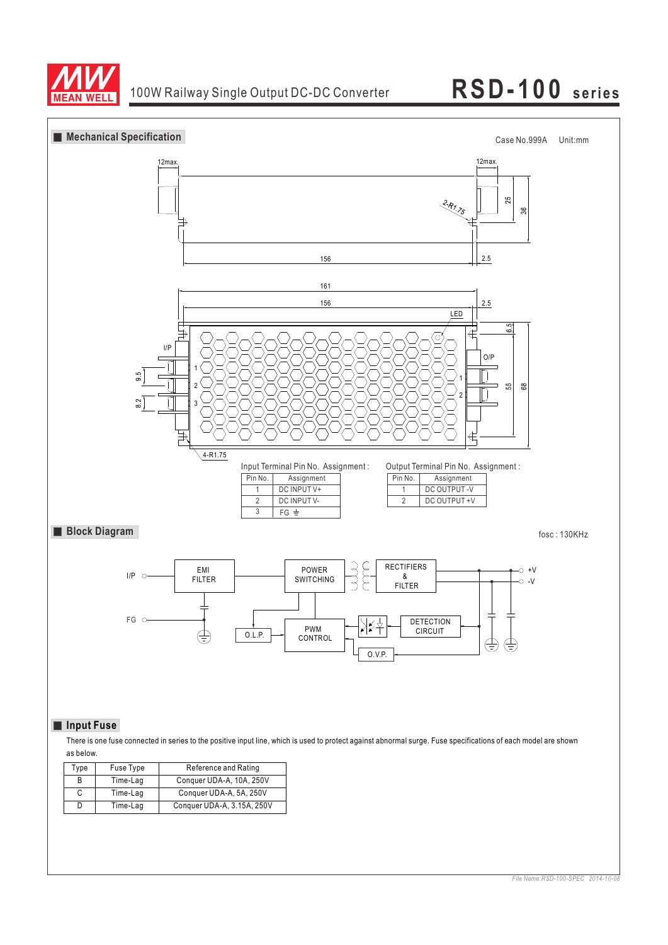



as below.

| Type | Fuse Type | Reference and Rating       |
|------|-----------|----------------------------|
| B    | Time-Lag  | Conquer UDA-A, 10A, 250V   |
| С    | Time-Lag  | Conquer UDA-A, 5A, 250V    |
| D    | Time-Lag  | Conquer UDA-A, 3.15A, 250V |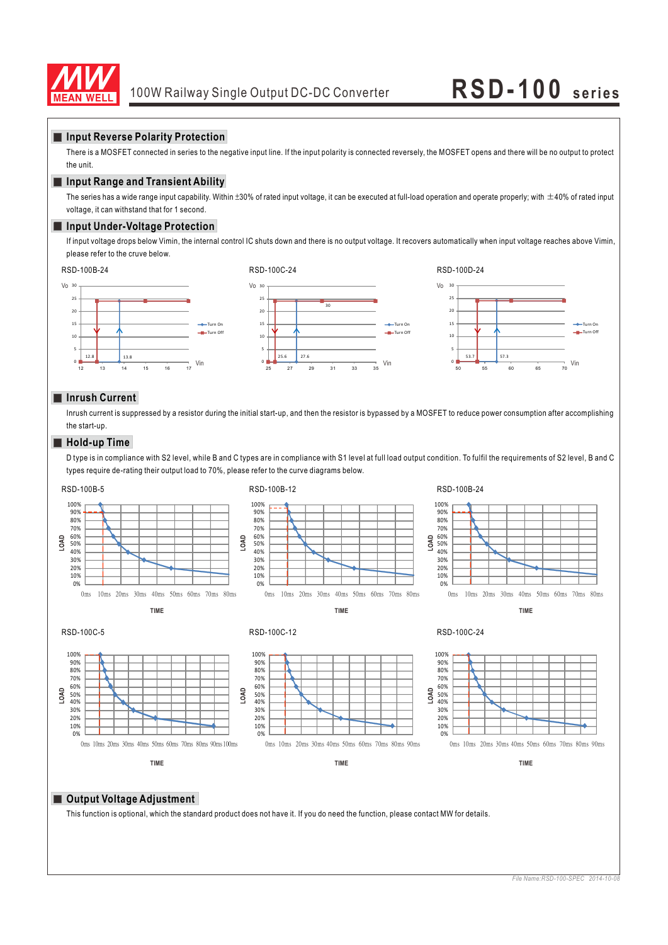

### **Input Reverse Polarity Protection**

There is a MOSFET connected in series to the negative input line. If the input polarity is connected reversely, the MOSFET opens and there will be no output to protect the unit.

### **Input Range and Transient Ability**

The series has a wide range input capability. Within  $\pm 30\%$  of rated input voltage, it can be executed at full-load operation and operate properly; with  $\pm 40\%$  of rated input voltage, it can withstand that for 1 second.

### **Input Under-Voltage Protection**

If input voltage drops below Vimin, the internal control IC shuts down and there is no output voltage. It recovers automatically when input voltage reaches above Vimin, please refer to the cruve below.



### **Inrush Current**

Inrush current is suppressed by a resistor during the initial start-up, and then the resistor is bypassed by a MOSFET to reduce power consumption after accomplishing the start-up.

### **Hold-up Time**

D type is in compliance with S2 level, while B and C types are in compliance with S1 level at full load output condition. To fulfil the requirements of S2 level, B and C types require de-rating their output load to 70%, please refer to the curve diagrams below.



### **Output Voltage Adjustment**

This function is optional, which the standard product does not have it. If you do need the function, please contact MW for details.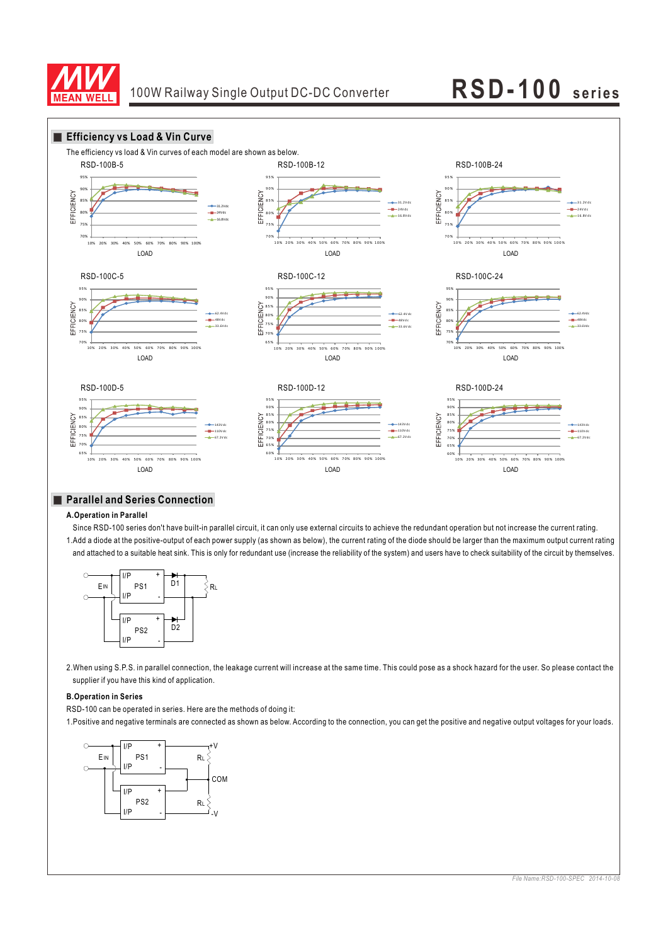



## **Parallel and Series Connection**

### **A.Operation in Parallel**

Since RSD-100 series don't have built-in parallel circuit, it can only use external circuits to achieve the redundant operation but not increase the current rating. 1.Add a diode at the positive-output of each power supply (as shown as below), the current rating of the diode should be larger than the maximum output current rating and attached to a suitable heat sink. This is only for redundant use (increase the reliability of the system) and users have to check suitability of the circuit by themselves.



2.When using S.P.S. in parallel connection, the leakage current will increase at the same time. This could pose as a shock hazard for the user. So please contact the supplier if you have this kind of application.

### **B.Operation in Series**

RSD-100 can be operated in series. Here are the methods of doing it:

1.Positive and negative terminals are connected as shown as below. According to the connection, you can get the positive and negative output voltages for your loads.

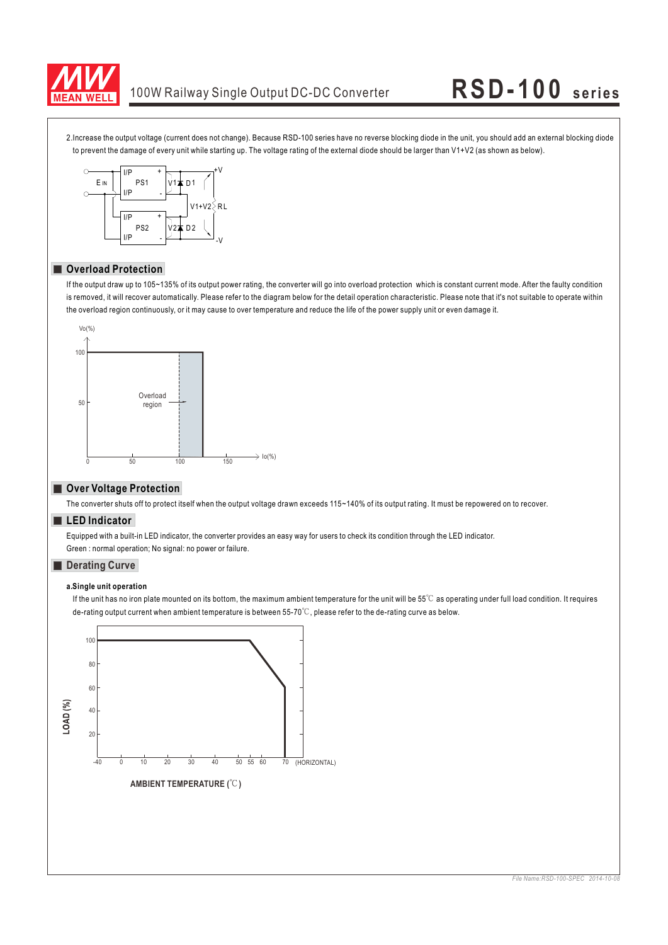

## 100W Railway Single Output DC-DC Converter **RSD-1 0 0 se rie s**

2.Increase the output voltage (current does not change). Because RSD-100 series have no reverse blocking diode in the unit, you should add an external blocking diode to prevent the damage of every unit while starting up. The voltage rating of the external diode should be larger than V1+V2 (as shown as below).



## **Overload Protection**

If the output draw up to 105~135% of its output power rating, the converter will go into overload protection which is constant current mode. After the faulty condition is removed, it will recover automatically. Please refer to the diagram below for the detail operation characteristic. Please note that it's not suitable to operate within the overload region continuously, or it may cause to over temperature and reduce the life of the power supply unit or even damage it.



### **Over Voltage Protection**

The converter shuts off to protect itself when the output voltage drawn exceeds 115~140% of its output rating. It must be repowered on to recover.

### **LED Indicator**

Equipped with a built-in LED indicator, the converter provides an easy way for users to check its condition through the LED indicator. Green : normal operation; No signal: no power or failure.

### **Derating Curve**

### **a. Single unit operation**

de-rating output current when ambient temperature is between 55-70°C, please refer to the de-rating curve as below. If the unit has no iron plate mounted on its bottom, the maximum ambient temperature for the unit will be  $55^\circ\text{C}$  as operating under full load condition. It requires

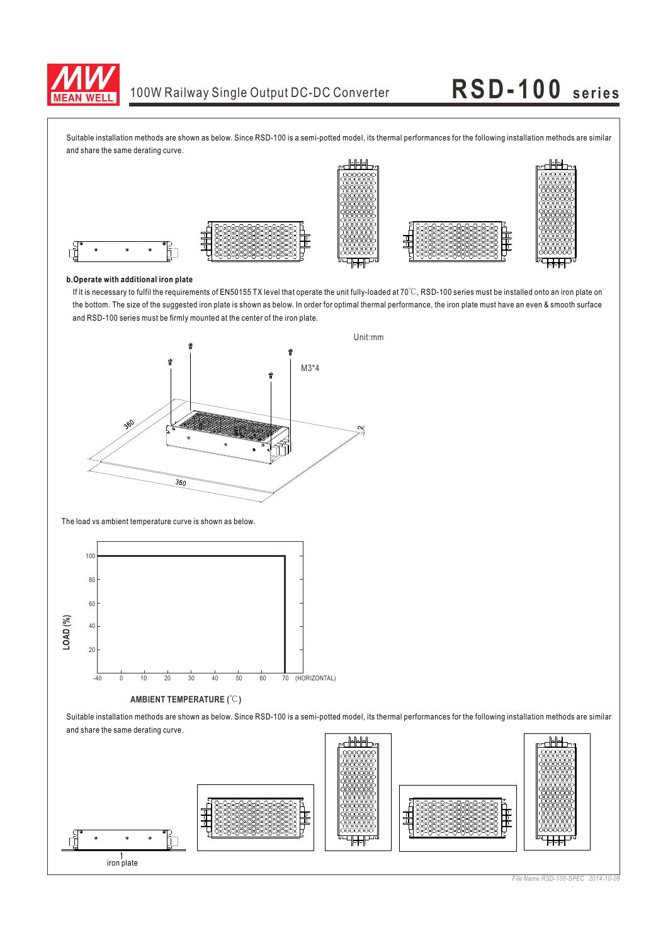

Suitable installation methods are shown as below. Since RSD-100 is a semi-potted model, its thermal performances for the following installation methods are similar and share the same derating curve.



### **b.Operate with additional iron plate**

the bottom. The size of the suggested iron plate is shown as below. In order for optimal thermal performance, the iron plate must have an even & smooth surface and RSD-100 series must be firmly mounted at the center of the iron plate. If it is necessary to fulfil the requirements of EN50155 TX level that operate the unit fully-loaded at 70 $\degree$ C, RSD-100 series must be installed onto an iron plate on



The load vs ambient temperature curve is shown as below.



### **AMBIENT TEMPERATURE (°C)**

Suitable installation methods are shown as below. Since RSD-100 is a semi-potted model, its thermal performances for the following installation methods are similar and share the same derating curve.